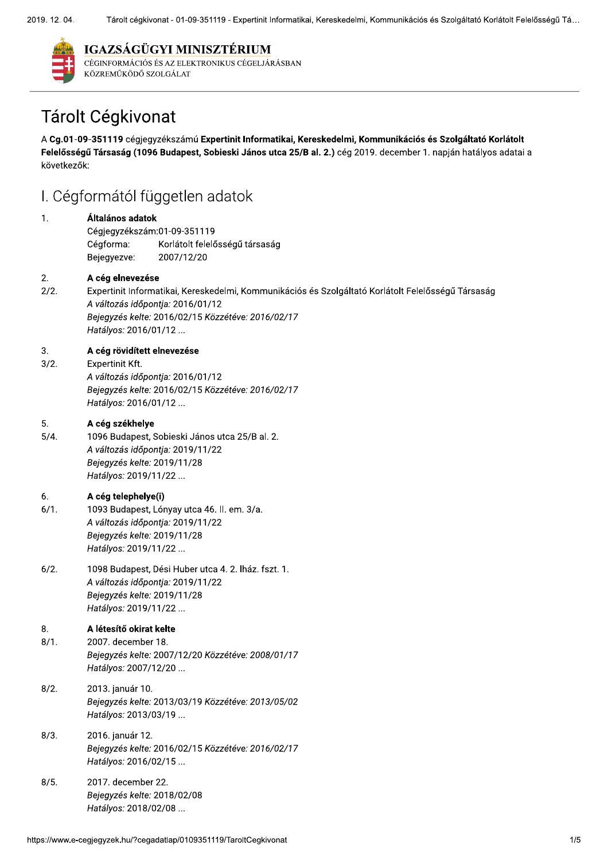

### IGAZSÁGÜGYI MINISZTÉRIUM

CÉGINFORMÁCIÓS ÉS AZ ELEKTRONIKUS CÉGELJÁRÁSBAN KÖZREMŰKÖDŐ SZOLGÁLAT

# Tárolt Cégkivonat

A Cg.01-09-351119 cégjegyzékszámú Expertinit Informatikai, Kereskedelmi, Kommunikációs és Szolgáltató Korlátolt Felelősségű Társaság (1096 Budapest, Sobieski János utca 25/B al. 2.) cég 2019. december 1. napján hatályos adatai a következők:

# I. Cégformától független adatok

#### $\mathbf{1}$ Általános adatok

Cégiegyzékszám:01-09-351119 Korlátolt felelősségű társaság Cégforma: Bejegyezve: 2007/12/20

#### $\overline{2}$ A cég elnevezése

 $2/2.$ Expertinit Informatikai, Kereskedelmi, Kommunikációs és Szolgáltató Korlátolt Felelősségű Társaság A változás időpontja: 2016/01/12 Bejegyzés kelte: 2016/02/15 Közzétéve: 2016/02/17 Hatályos: 2016/01/12 ...

#### $3.$ A cég rövidített elnevezése

 $3/2.$ Expertinit Kft. A változás időpontja: 2016/01/12 Bejegyzés kelte: 2016/02/15 Közzétéve: 2016/02/17 Hatályos: 2016/01/12 ...

#### 5. A cég székhelye

 $5/4.$ 1096 Budapest, Sobieski János utca 25/B al. 2. A változás időpontja: 2019/11/22 Bejegyzés kelte: 2019/11/28 Hatályos: 2019/11/22 ...

#### A cég telephelye(i)  $6.$

- $6/1.$ 1093 Budapest, Lónyay utca 46. II. em. 3/a. A változás időpontia: 2019/11/22 Bejegyzés kelte: 2019/11/28 Hatályos: 2019/11/22 ...
- $6/2.$ 1098 Budapest, Dési Huber utca 4. 2. lház. fszt. 1. A változás időpontia: 2019/11/22 Bejegyzés kelte: 2019/11/28 Hatálvos: 2019/11/22 ...

#### 8. A létesítő okirat kelte

- $8/1.$ 2007. december 18. Bejeavzés kelte: 2007/12/20 Közzétéve: 2008/01/17 Hatályos: 2007/12/20 ...
- $8/2.$ 2013. január 10. Bejegyzés kelte: 2013/03/19 Közzétéve: 2013/05/02 Hatályos: 2013/03/19 ...
- $8/3.$ 2016. január 12. Bejegyzés kelte: 2016/02/15 Közzétéve: 2016/02/17 Hatályos: 2016/02/15...
- $8/5.$ 2017. december 22. Bejegyzés kelte: 2018/02/08 Hatályos: 2018/02/08 ...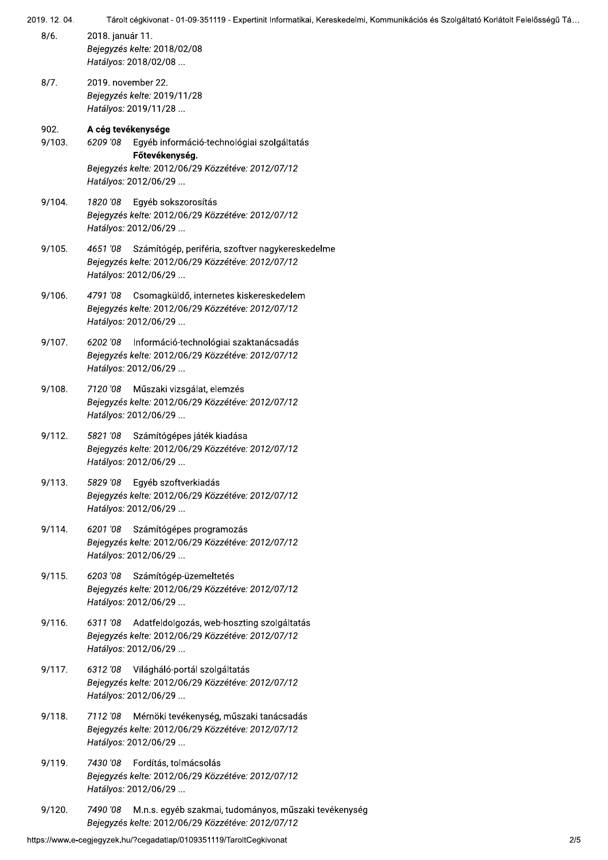| 2019. 12. 04.  | Tárolt cégkivonat - 01-09-351119 - Expertinit Informatikai, Kereskedelmi, Kommunikációs és Szolgáltató Korlátolt Felelősségű Tá                                             |
|----------------|-----------------------------------------------------------------------------------------------------------------------------------------------------------------------------|
| 8/6.           | 2018. január 11.<br>Bejegyzés kelte: 2018/02/08<br>Hatályos: 2018/02/08                                                                                                     |
| 8/7.           | 2019. november 22.<br>Bejegyzés kelte: 2019/11/28<br>Hatályos: 2019/11/28                                                                                                   |
| 902.<br>9/103. | A cég tevékenysége<br>Egyéb információ-technológiai szolgáltatás<br>6209 '08<br>Főtevékenység.<br>Bejegyzés kelte: 2012/06/29 Közzétéve: 2012/07/12<br>Hatályos: 2012/06/29 |
| 9/104.         | 1820 '08<br>Egyéb sokszorosítás<br>Bejegyzés kelte: 2012/06/29 Közzétéve: 2012/07/12<br>Hatályos: 2012/06/29                                                                |
| 9/105.         | 4651 '08 Számítógép, periféria, szoftver nagykereskedelme<br>Bejegyzés kelte: 2012/06/29 Közzétéve: 2012/07/12<br>Hatályos: 2012/06/29                                      |
| 9/106.         | 4791 '08<br>Csomagküldő, internetes kiskereskedelem<br>Bejegyzés kelte: 2012/06/29 Közzétéve: 2012/07/12<br>Hatályos: 2012/06/29                                            |
| 9/107.         | Információ-technológiai szaktanácsadás<br>6202 '08<br>Bejegyzés kelte: 2012/06/29 Közzétéve: 2012/07/12<br>Hatályos: 2012/06/29                                             |
| 9/108.         | 7120'08 Műszaki vizsgálat, elemzés<br>Bejegyzés kelte: 2012/06/29 Közzétéve: 2012/07/12<br>Hatályos: 2012/06/29                                                             |
| 9/112.         | 5821 '08 Számítógépes játék kiadása<br>Bejegyzés kelte: 2012/06/29 Közzétéve: 2012/07/12<br>Hatályos: 2012/06/29                                                            |
| 9/113.         | Egyéb szoftverkiadás<br>5829 '08<br>Bejegyzés kelte: 2012/06/29 Közzétéve: 2012/07/12<br>Hatályos: 2012/06/29                                                               |
| 9/114.         | 6201 '08 Számítógépes programozás<br>Bejegyzés kelte: 2012/06/29 Közzétéve: 2012/07/12<br>Hatályos: 2012/06/29                                                              |
| 9/115.         | 6203'08 Számítógép-üzemeltetés<br>Bejegyzés kelte: 2012/06/29 Közzétéve: 2012/07/12<br>Hatályos: 2012/06/29                                                                 |
| 9/116.         | 6311 '08 Adatfeldolgozás, web-hoszting szolgáltatás<br>Bejegyzés kelte: 2012/06/29 Közzétéve: 2012/07/12<br>Hatályos: 2012/06/29                                            |
| 9/117.         | 6312 '08 Világháló-portál szolgáltatás<br>Bejegyzés kelte: 2012/06/29 Közzétéve: 2012/07/12<br>Hatályos: 2012/06/29                                                         |
| 9/118.         | Mérnöki tevékenység, műszaki tanácsadás<br>7112 '08<br>Bejegyzés kelte: 2012/06/29 Közzétéve: 2012/07/12<br>Hatályos: 2012/06/29                                            |
| 9/119.         | 7430 '08 Fordítás, tolmácsolás<br>Bejegyzés kelte: 2012/06/29 Közzétéve: 2012/07/12<br>Hatályos: 2012/06/29                                                                 |
| 9/120.         | M.n.s. egyéb szakmai, tudományos, műszaki tevékenység<br>7490 '08<br>Bejegyzés kelte: 2012/06/29 Közzétéve: 2012/07/12                                                      |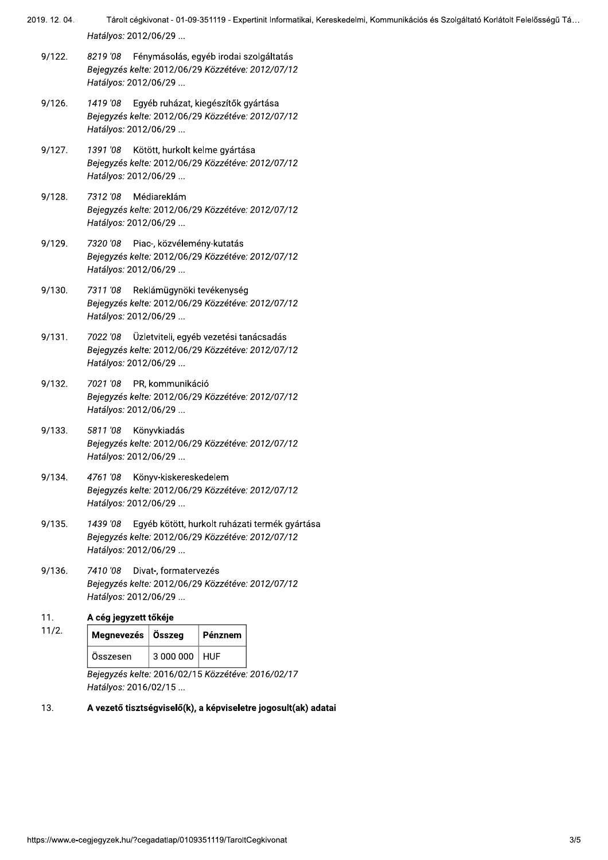- 2019. 12. 04. Tárolt cégkivonat - 01-09-351119 - Expertinit Informatikai, Kereskedelmi, Kommunikációs és Szolgáltató Korlátolt Felelősségű Tá... Hatályos: 2012/06/29 ...
	- $9/122.$ 8219 '08 Fénymásolás, egyéb irodai szolgáltatás Bejegyzés kelte: 2012/06/29 Közzétéve: 2012/07/12 Hatályos: 2012/06/29 ...
	- $9/126.$ 1419 '08 Eqyéb ruházat, kiegészítők gyártása Bejegyzés kelte: 2012/06/29 Közzétéve: 2012/07/12 Hatályos: 2012/06/29 ...
	- $9/127.$ 1391 '08 Kötött, hurkolt kelme gyártása Bejegyzés kelte: 2012/06/29 Közzétéve: 2012/07/12 Hatályos: 2012/06/29 ...
	- $9/128.$ 7312'08 Médiareklám Bejegyzés kelte: 2012/06/29 Közzétéve: 2012/07/12 Hatályos: 2012/06/29 ...
	- $9/129.$ 7320 '08 Piac-, közvélemény-kutatás Bejegyzés kelte: 2012/06/29 Közzétéve: 2012/07/12 Hatályos: 2012/06/29 ...
	- $9/130.$ 7311 '08 Reklámügynöki tevékenység Bejegyzés kelte: 2012/06/29 Közzétéve: 2012/07/12 Hatályos: 2012/06/29 ...
	- $9/131.$ 7022 '08 Üzletviteli, egyéb vezetési tanácsadás Bejegyzés kelte: 2012/06/29 Közzétéve: 2012/07/12 Hatályos: 2012/06/29 ...
	- 7021 '08 PR, kommunikáció  $9/132.$ Bejegyzés kelte: 2012/06/29 Közzétéve: 2012/07/12 Hatályos: 2012/06/29 ...
	- $9/133.$ 5811'08 Könyvkiadás Bejegyzés kelte: 2012/06/29 Közzétéve: 2012/07/12 Hatályos: 2012/06/29 ...
	- $9/134$ 4761 '08 Könyv-kiskereskedelem Bejegyzés kelte: 2012/06/29 Közzétéve: 2012/07/12 Hatályos: 2012/06/29 ...
	- $9/135.$ 1439 '08 Egyéb kötött, hurkolt ruházati termék gyártása Bejegyzés kelte: 2012/06/29 Közzétéve: 2012/07/12 Hatályos: 2012/06/29 ...
	- $9/136.$ 7410 '08 Divat-, formatervezés Bejegyzés kelte: 2012/06/29 Közzétéve: 2012/07/12 Hatályos: 2012/06/29 ...
	- $11.$ A cég jegyzett tőkéje

 $11/2.$ 

|  | Megnevezés   Összeg |                 | Pénznem |
|--|---------------------|-----------------|---------|
|  | Összesen            | 3 000 000   HUF |         |

Bejegyzés kelte: 2016/02/15 Közzétéve: 2016/02/17 Hatályos: 2016/02/15 ...

13. A vezető tisztségviselő(k), a képviseletre jogosult(ak) adatai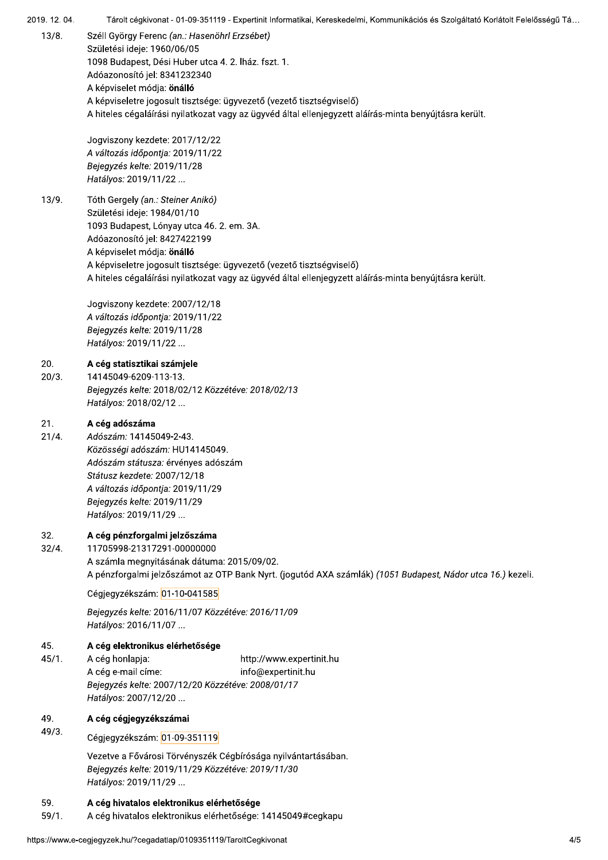$13/8.$ Széll György Ferenc (an.: Hasenöhrl Erzsébet) Születési ideje: 1960/06/05 1098 Budapest, Dési Huber utca 4. 2. lház. fszt. 1. Adóazonosító jel: 8341232340 A képviselet módja: önálló A képviseletre jogosult tisztsége: ügyvezető (vezető tisztségviselő) A hiteles cégaláírási nyilatkozat vagy az ügyvéd által ellenjegyzett aláírás-minta benyújtásra került. Jogviszony kezdete: 2017/12/22 A változás időpontja: 2019/11/22 Bejegyzés kelte: 2019/11/28 Hatályos: 2019/11/22 ...  $13/9.$ Tóth Gergely (an.: Steiner Anikó) Születési ideje: 1984/01/10 1093 Budapest, Lónyay utca 46. 2. em. 3A. Adóazonosító jel: 8427422199 A képviselet módja: önálló A képviseletre jogosult tisztsége: ügyvezető (vezető tisztségviselő) A hiteles cégaláírási nyilatkozat vagy az ügyvéd által ellenjegyzett aláírás-minta benyújtásra került. Jogviszony kezdete: 2007/12/18 A változás időpontja: 2019/11/22 Bejegyzés kelte: 2019/11/28 Hatályos: 2019/11/22 ...  $20.$ A cég statisztikai számjele  $20/3.$ 14145049-6209-113-13. Bejegyzés kelte: 2018/02/12 Közzétéve: 2018/02/13 Hatályos: 2018/02/12 ...  $21.$ A cég adószáma  $21/4.$ Adószám: 14145049-2-43. Közösségi adószám: HU14145049. Adószám státusza: érvényes adószám Státusz kezdete: 2007/12/18 A változás időpontja: 2019/11/29 Bejegyzés kelte: 2019/11/29 Hatályos: 2019/11/29 ... 32. A cég pénzforgalmi jelzőszáma  $32/4.$ 11705998-21317291-00000000 A számla megnyitásának dátuma: 2015/09/02. A pénzforgalmi jelzőszámot az OTP Bank Nyrt. (jogutód AXA számlák) (1051 Budapest, Nádor utca 16.) kezeli. Cégjegyzékszám: 01-10-041585 Bejegyzés kelte: 2016/11/07 Közzétéve: 2016/11/09 Hatályos: 2016/11/07 ... 45. A cég elektronikus elérhetősége  $45/1.$ A cég honlapja: http://www.expertinit.hu A cég e-mail címe: info@expertinit.hu Bejegyzés kelte: 2007/12/20 Közzétéve: 2008/01/17 Hatályos: 2007/12/20 ... 49. A cég cégjegyzékszámai  $49/3.$ Cégjegyzékszám: 01-09-351119 Vezetve a Fővárosi Törvényszék Cégbírósága nyilvántartásában. Bejegyzés kelte: 2019/11/29 Közzétéve: 2019/11/30 Hatályos: 2019/11/29 ... 59. A céa hivatalos elektronikus elérhetősége A cég hivatalos elektronikus elérhetősége: 14145049#cegkapu  $59/1.$ 

Tárolt cégkivonat - 01-09-351119 - Expertinit Informatikai, Kereskedelmi, Kommunikációs és Szolgáltató Korlátolt Felelősségű Tá...

2019, 12, 04,